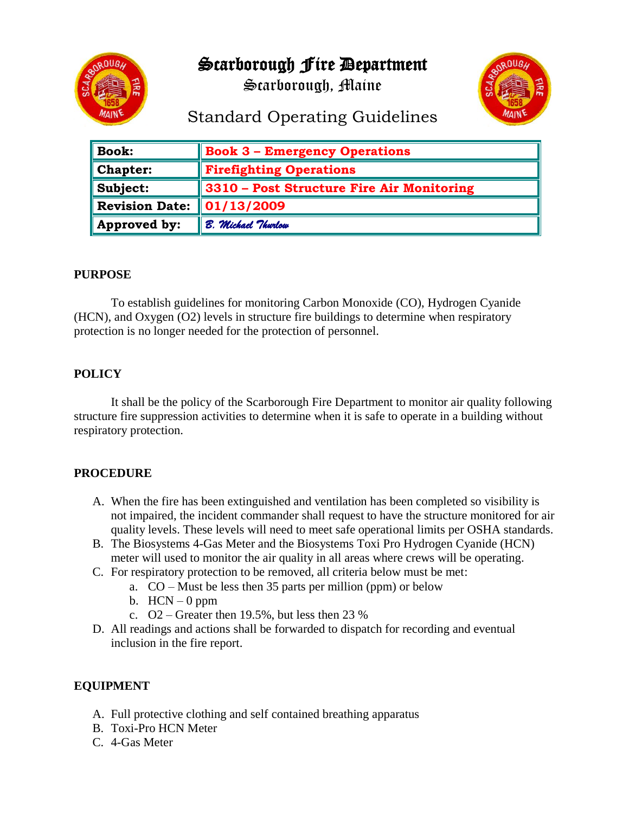Scarborough Fire Department



Scarborough, Maine



# Standard Operating Guidelines

| <b>Book:</b>          | <b>Book 3 - Emergency Operations</b>      |
|-----------------------|-------------------------------------------|
| <b>Chapter:</b>       | <b>Firefighting Operations</b>            |
| Subject:              | 3310 - Post Structure Fire Air Monitoring |
| <b>Revision Date:</b> | $\mid 01/13/2009$                         |
| Approved by:          | B. Michael Thurlow                        |

## **PURPOSE**

To establish guidelines for monitoring Carbon Monoxide (CO), Hydrogen Cyanide (HCN), and Oxygen (O2) levels in structure fire buildings to determine when respiratory protection is no longer needed for the protection of personnel.

# **POLICY**

It shall be the policy of the Scarborough Fire Department to monitor air quality following structure fire suppression activities to determine when it is safe to operate in a building without respiratory protection.

#### **PROCEDURE**

- A. When the fire has been extinguished and ventilation has been completed so visibility is not impaired, the incident commander shall request to have the structure monitored for air quality levels. These levels will need to meet safe operational limits per OSHA standards.
- B. The Biosystems 4-Gas Meter and the Biosystems Toxi Pro Hydrogen Cyanide (HCN) meter will used to monitor the air quality in all areas where crews will be operating.
- C. For respiratory protection to be removed, all criteria below must be met:
	- a. CO Must be less then 35 parts per million (ppm) or below
	- b.  $HCN 0$  ppm
	- c.  $Q2 -$  Greater then 19.5%, but less then 23 %
- D. All readings and actions shall be forwarded to dispatch for recording and eventual inclusion in the fire report.

# **EQUIPMENT**

- A. Full protective clothing and self contained breathing apparatus
- B. Toxi-Pro HCN Meter
- C. 4-Gas Meter